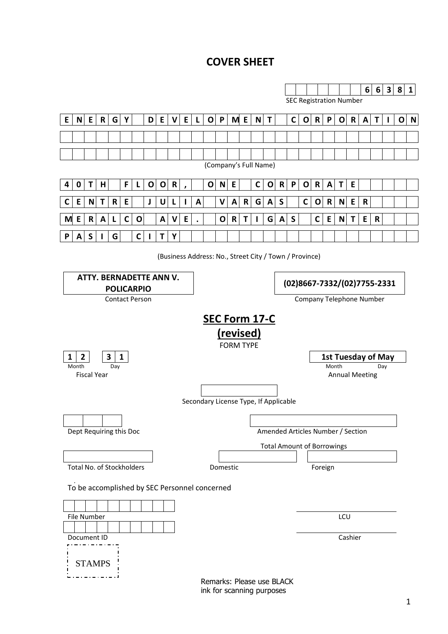# **COVER SHEET**

|                                                               |                           |               |              |                         |              |              |              |             |              |           |              |              |              |                  |              |              |              |              |                                   |              |              |                  |              |              |              |             |                           |              | $\mathbf{1}$ |
|---------------------------------------------------------------|---------------------------|---------------|--------------|-------------------------|--------------|--------------|--------------|-------------|--------------|-----------|--------------|--------------|--------------|------------------|--------------|--------------|--------------|--------------|-----------------------------------|--------------|--------------|------------------|--------------|--------------|--------------|-------------|---------------------------|--------------|--------------|
|                                                               |                           |               |              |                         |              |              |              |             |              |           |              |              |              |                  |              |              |              |              |                                   |              |              |                  |              |              | $6 \mid$     | 6           | 3 8                       |              |              |
| <b>SEC Registration Number</b>                                |                           |               |              |                         |              |              |              |             |              |           |              |              |              |                  |              |              |              |              |                                   |              |              |                  |              |              |              |             |                           |              |              |
| E                                                             |                           | $N$ E         | $\mathsf{R}$ | $\mathsf{G}$            | Y            |              | D            | E           | $\mathsf{V}$ | E         | $\mathsf{L}$ | $\mathbf{O}$ | $\mathsf{P}$ |                  | M E          | $N$ T        |              |              | $\mathsf{C}$                      | $\mathbf{o}$ | $\mathbf R$  | P                |              | O R          | $\mathbf{A}$ | T           | $\mathbf{I}$              | $\mathbf{o}$ | $\mathbf N$  |
|                                                               |                           |               |              |                         |              |              |              |             |              |           |              |              |              |                  |              |              |              |              |                                   |              |              |                  |              |              |              |             |                           |              |              |
|                                                               |                           |               |              |                         |              |              |              |             |              |           |              |              |              |                  |              |              |              |              |                                   |              |              |                  |              |              |              |             |                           |              |              |
| (Company's Full Name)                                         |                           |               |              |                         |              |              |              |             |              |           |              |              |              |                  |              |              |              |              |                                   |              |              |                  |              |              |              |             |                           |              |              |
| 4                                                             | 0                         | T             | H            |                         | F            | L            | $\mathbf{o}$ | $\mathbf 0$ | $\mathsf{R}$ |           |              | O            | $\mathsf{N}$ | ${\sf E}$        |              | $\mathsf{C}$ | 0            | $\mathsf{R}$ | P                                 | $\mathbf{o}$ | $\mathsf{R}$ | $\boldsymbol{A}$ | $\mathsf{T}$ | $\mathsf E$  |              |             |                           |              |              |
|                                                               |                           |               |              |                         |              |              |              |             |              | $\lambda$ |              |              |              |                  |              |              |              |              |                                   |              |              |                  |              |              |              |             |                           |              |              |
| C                                                             | E                         | N             | T            | R                       | E            |              | J            | U           | L            | ı         | A            |              | V            | A                | $\mathsf{R}$ | G            | $\mathsf{A}$ | $\mathsf S$  |                                   | $\mathbf C$  | $\mathbf o$  | $\mathsf R$      | N            | E            | $\mathsf R$  |             |                           |              |              |
| M                                                             | $\mathsf E$               | $\mathsf R$   | A            | L                       | $\mathsf{C}$ | $\mathbf{o}$ |              | A           | $\mathbf v$  | E         |              |              | $\mathbf{o}$ | $\mathsf{R}$     | $\mathsf{T}$ | $\mathbf{I}$ | $\mathsf{G}$ | $\mathbf{A}$ | $\mathsf{s}$                      |              | $\mathsf{C}$ | E.               | N            | $\mathsf{T}$ | E            | $\mathbf R$ |                           |              |              |
| P                                                             | A                         | $\mathsf S$   |              | G                       |              | $\mathbf C$  |              | T           | Υ            |           |              |              |              |                  |              |              |              |              |                                   |              |              |                  |              |              |              |             |                           |              |              |
| (Business Address: No., Street City / Town / Province)        |                           |               |              |                         |              |              |              |             |              |           |              |              |              |                  |              |              |              |              |                                   |              |              |                  |              |              |              |             |                           |              |              |
|                                                               |                           |               |              |                         |              |              |              |             |              |           |              |              |              |                  |              |              |              |              |                                   |              |              |                  |              |              |              |             |                           |              |              |
| <b>ATTY. BERNADETTE ANN V.</b><br>(02)8667-7332/(02)7755-2331 |                           |               |              |                         |              |              |              |             |              |           |              |              |              |                  |              |              |              |              |                                   |              |              |                  |              |              |              |             |                           |              |              |
| <b>POLICARPIO</b><br><b>Contact Person</b>                    |                           |               |              |                         |              |              |              |             |              |           |              |              |              |                  |              |              |              |              |                                   |              |              |                  |              |              |              |             |                           |              |              |
|                                                               | Company Telephone Number  |               |              |                         |              |              |              |             |              |           |              |              |              |                  |              |              |              |              |                                   |              |              |                  |              |              |              |             |                           |              |              |
|                                                               | SEC Form 17-C             |               |              |                         |              |              |              |             |              |           |              |              |              |                  |              |              |              |              |                                   |              |              |                  |              |              |              |             |                           |              |              |
|                                                               | (revised)                 |               |              |                         |              |              |              |             |              |           |              |              |              |                  |              |              |              |              |                                   |              |              |                  |              |              |              |             |                           |              |              |
|                                                               |                           |               |              |                         |              |              |              |             |              |           |              |              |              | <b>FORM TYPE</b> |              |              |              |              |                                   |              |              |                  |              |              |              |             |                           |              |              |
| 1                                                             | 2<br>Month                |               |              | 3<br>Day                | $\mathbf{1}$ |              |              |             |              |           |              |              |              |                  |              |              |              |              |                                   |              |              | Month            |              |              |              | Day         | <b>1st Tuesday of May</b> |              |              |
| <b>Fiscal Year</b><br><b>Annual Meeting</b>                   |                           |               |              |                         |              |              |              |             |              |           |              |              |              |                  |              |              |              |              |                                   |              |              |                  |              |              |              |             |                           |              |              |
|                                                               |                           |               |              |                         |              |              |              |             |              |           |              |              |              |                  |              |              |              |              |                                   |              |              |                  |              |              |              |             |                           |              |              |
| Secondary License Type, If Applicable                         |                           |               |              |                         |              |              |              |             |              |           |              |              |              |                  |              |              |              |              |                                   |              |              |                  |              |              |              |             |                           |              |              |
|                                                               |                           |               |              |                         |              |              |              |             |              |           |              |              |              |                  |              |              |              |              |                                   |              |              |                  |              |              |              |             |                           |              |              |
|                                                               |                           |               |              | Dept Requiring this Doc |              |              |              |             |              |           |              |              |              |                  |              |              |              |              | Amended Articles Number / Section |              |              |                  |              |              |              |             |                           |              |              |
|                                                               |                           |               |              |                         |              |              |              |             |              |           |              |              |              |                  |              |              |              |              | <b>Total Amount of Borrowings</b> |              |              |                  |              |              |              |             |                           |              |              |
|                                                               |                           |               |              |                         |              |              |              |             |              |           |              |              |              |                  |              |              |              |              |                                   |              |              |                  |              |              |              |             |                           |              |              |
| Total No. of Stockholders<br>Domestic<br>Foreign              |                           |               |              |                         |              |              |              |             |              |           |              |              |              |                  |              |              |              |              |                                   |              |              |                  |              |              |              |             |                           |              |              |
| To be accomplished by SEC Personnel concerned                 |                           |               |              |                         |              |              |              |             |              |           |              |              |              |                  |              |              |              |              |                                   |              |              |                  |              |              |              |             |                           |              |              |
|                                                               |                           |               |              |                         |              |              |              |             |              |           |              |              |              |                  |              |              |              |              |                                   |              |              |                  |              |              |              |             |                           |              |              |
| LCU<br>File Number                                            |                           |               |              |                         |              |              |              |             |              |           |              |              |              |                  |              |              |              |              |                                   |              |              |                  |              |              |              |             |                           |              |              |
|                                                               |                           |               |              |                         |              |              |              |             |              |           |              |              |              |                  |              |              |              |              |                                   |              |              |                  |              |              |              |             |                           |              |              |
| Cashier<br>Document ID                                        |                           |               |              |                         |              |              |              |             |              |           |              |              |              |                  |              |              |              |              |                                   |              |              |                  |              |              |              |             |                           |              |              |
|                                                               |                           | <b>STAMPS</b> |              |                         |              |              |              |             |              |           |              |              |              |                  |              |              |              |              |                                   |              |              |                  |              |              |              |             |                           |              |              |
|                                                               |                           |               |              |                         |              |              |              |             |              |           |              |              |              |                  |              |              |              |              |                                   |              |              |                  |              |              |              |             |                           |              |              |
|                                                               | Remarks: Please use BLACK |               |              |                         |              |              |              |             |              |           |              |              |              |                  |              |              |              |              |                                   |              |              |                  |              |              |              |             |                           |              |              |

ink for scanning purposes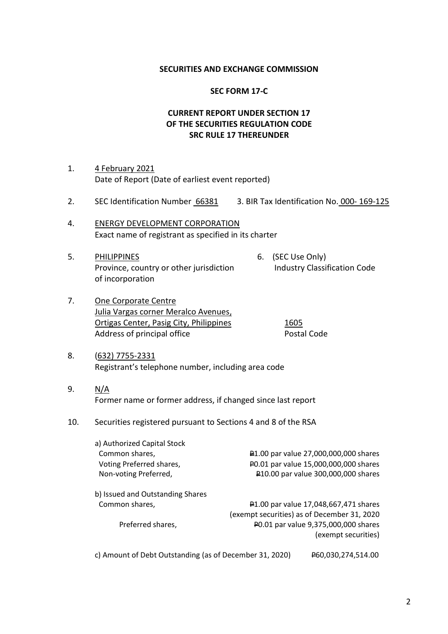### **SECURITIES AND EXCHANGE COMMISSION**

#### **SEC FORM 17-C**

# **CURRENT REPORT UNDER SECTION 17 OF THE SECURITIES REGULATION CODE SRC RULE 17 THEREUNDER**

- 1. 4 February 2021 Date of Report (Date of earliest event reported)
- 2. SEC Identification Number 66381 3. BIR Tax Identification No. 000- 169-125
- 4. ENERGY DEVELOPMENT CORPORATION Exact name of registrant as specified in its charter
- 5. PHILIPPINES 6. (SEC Use Only) Province, country or other jurisdiction Industry Classification Code of incorporation
	-
- 7. One Corporate Centre Julia Vargas corner Meralco Avenues, Ortigas Center, Pasig City, Philippines 1605 Address of principal office **Postal Code**

- 8. (632) 7755-2331 Registrant's telephone number, including area code
- 9. N/A Former name or former address, if changed since last report
- 10. Securities registered pursuant to Sections 4 and 8 of the RSA

| a) Authorized Capital Stock      |                                             |
|----------------------------------|---------------------------------------------|
| Common shares,                   | P1.00 par value 27,000,000,000 shares       |
| Voting Preferred shares,         | P0.01 par value 15,000,000,000 shares       |
| Non-voting Preferred,            | P10.00 par value 300,000,000 shares         |
| b) Issued and Outstanding Shares |                                             |
| Common shares,                   | P1.00 par value 17,048,667,471 shares       |
|                                  | (exempt securities) as of December 31, 2020 |
| Preferred shares,                | P0.01 par value 9,375,000,000 shares        |
|                                  | (exempt securities)                         |
|                                  |                                             |

c) Amount of Debt Outstanding (as of December 31, 2020) P60,030,274,514.00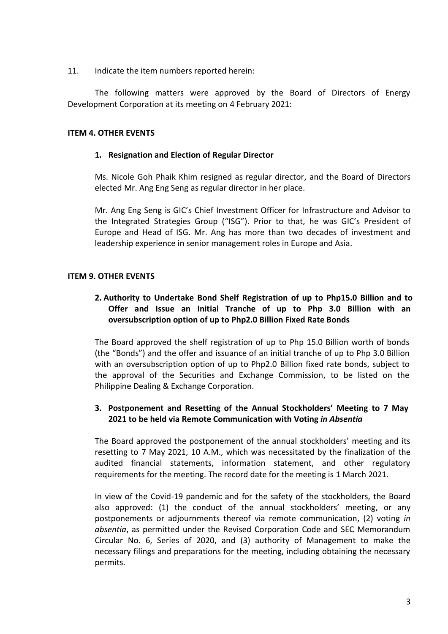11. Indicate the item numbers reported herein:

The following matters were approved by the Board of Directors of Energy Development Corporation at its meeting on 4 February 2021:

# **ITEM 4. OTHER EVENTS**

# **1. Resignation and Election of Regular Director**

Ms. Nicole Goh Phaik Khim resigned as regular director, and the Board of Directors elected Mr. Ang Eng Seng as regular director in her place.

Mr. Ang Eng Seng is GIC's Chief Investment Officer for Infrastructure and Advisor to the Integrated Strategies Group ("ISG"). Prior to that, he was GIC's President of Europe and Head of ISG. Mr. Ang has more than two decades of investment and leadership experience in senior management roles in Europe and Asia.

# **ITEM 9. OTHER EVENTS**

# **2. Authority to Undertake Bond Shelf Registration of up to Php15.0 Billion and to Offer and Issue an Initial Tranche of up to Php 3.0 Billion with an oversubscription option of up to Php2.0 Billion Fixed Rate Bonds**

The Board approved the shelf registration of up to Php 15.0 Billion worth of bonds (the "Bonds") and the offer and issuance of an initial tranche of up to Php 3.0 Billion with an oversubscription option of up to Php2.0 Billion fixed rate bonds, subject to the approval of the Securities and Exchange Commission, to be listed on the Philippine Dealing & Exchange Corporation.

# **3. Postponement and Resetting of the Annual Stockholders' Meeting to 7 May 2021 to be held via Remote Communication with Voting** *in Absentia*

The Board approved the postponement of the annual stockholders' meeting and its resetting to 7 May 2021, 10 A.M., which was necessitated by the finalization of the audited financial statements, information statement, and other regulatory requirements for the meeting. The record date for the meeting is 1 March 2021.

In view of the Covid-19 pandemic and for the safety of the stockholders, the Board also approved: (1) the conduct of the annual stockholders' meeting, or any postponements or adjournments thereof via remote communication, (2) voting *in absentia*, as permitted under the Revised Corporation Code and SEC Memorandum Circular No. 6, Series of 2020, and (3) authority of Management to make the necessary filings and preparations for the meeting, including obtaining the necessary permits.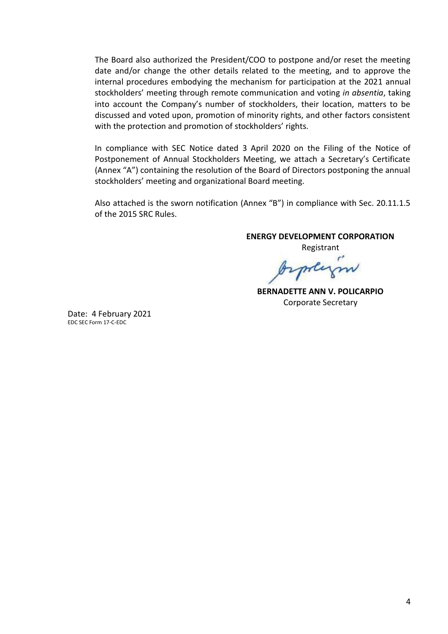The Board also authorized the President/COO to postpone and/or reset the meeting date and/or change the other details related to the meeting, and to approve the internal procedures embodying the mechanism for participation at the 2021 annual stockholders' meeting through remote communication and voting *in absentia*, taking into account the Company's number of stockholders, their location, matters to be discussed and voted upon, promotion of minority rights, and other factors consistent with the protection and promotion of stockholders' rights.

In compliance with SEC Notice dated 3 April 2020 on the Filing of the Notice of Postponement of Annual Stockholders Meeting, we attach a Secretary's Certificate (Annex "A") containing the resolution of the Board of Directors postponing the annual stockholders' meeting and organizational Board meeting.

Also attached is the sworn notification (Annex "B") in compliance with Sec. 20.11.1.5 of the 2015 SRC Rules.

**ENERGY DEVELOPMENT CORPORATION** 

Registrant mey

**BERNADETTE ANN V. POLICARPIO**  Corporate Secretary

Date: 4 February 2021 EDC SEC Form 17-C-EDC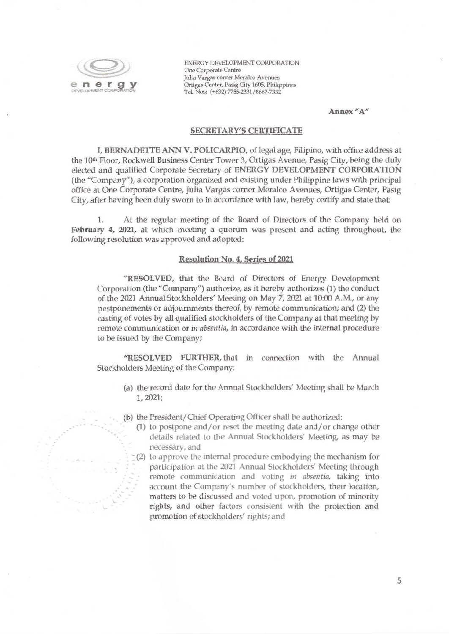

ENERGY DEVELOPMENT CORPORATION One Corporate Centre Julia Vargas corner Meralco Avenues Ortigas Center, Pasig City 1605, Philippines Tel. Nos: (+632) 7755-2331/8667-7332

Annex "A"

#### **SECRETARY'S CERTIFICATE**

I, BERNADETTE ANN V. POLICARPIO, of legal age, Filipino, with office address at the 10<sup>th</sup> Floor, Rockwell Business Center Tower 3, Ortigas Avenue, Pasig City, being the duly elected and qualified Corporate Secretary of ENERGY DEVELOPMENT CORPORATION (the "Company"), a corporation organized and existing under Philippine laws with principal office at One Corporate Centre, Julia Vargas corner Meralco Avenues, Ortigas Center, Pasig City, after having been duly sworn to in accordance with law, hereby certify and state that:

At the regular meeting of the Board of Directors of the Company held on  $1.$ February 4, 2021, at which meeting a quorum was present and acting throughout, the following resolution was approved and adopted:

#### Resolution No. 4, Series of 2021

"RESOLVED, that the Board of Directors of Energy Development Corporation (the "Company") authorize, as it hereby authorizes (1) the conduct of the 2021 Annual Stockholders' Meeting on May 7, 2021 at 10:00 A.M., or any postponements or adjournments thereof, by remote communication; and (2) the casting of votes by all qualified stockholders of the Company at that meeting by remote communication or in absentia, in accordance with the internal procedure to be issued by the Company;

"RESOLVED FURTHER, that in connection with the Annual Stockholders Meeting of the Company:

- (a) the record date for the Annual Stockholders' Meeting shall be March  $1, 2021;$
- (b) the President/Chief Operating Officer shall be authorized:
	- (1) to postpone and/or reset the meeting date and/or change other details related to the Annual Stockholders' Meeting, as may be necessary, and
	- $(2)$  to approve the internal procedure embodying the mechanism for participation at the 2021 Annual Stockholders' Meeting through remote communication and voting in absentia, taking into account the Company's number of stockholders, their location, matters to be discussed and voted upon, promotion of minority rights, and other factors consistent with the protection and promotion of stockholders' rights; and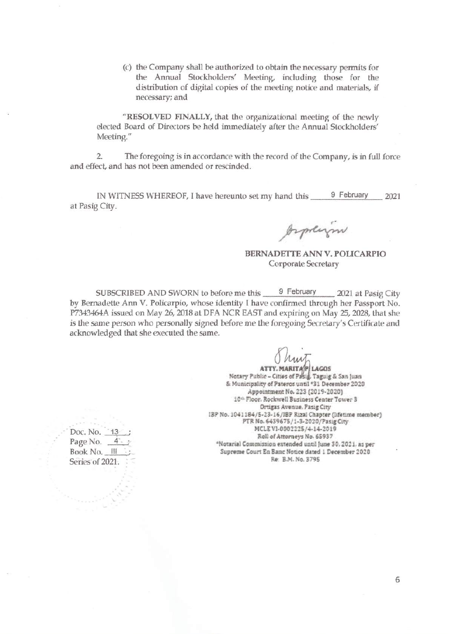(c) the Company shall be authorized to obtain the necessary permits for the Annual Stockholders' Meeting, including those for the distribution of digital copies of the meeting notice and materials, if necessary; and

"RESOLVED FINALLY, that the organizational meeting of the newly elected Board of Directors be held immediately after the Annual Stockholders' Meeting."

 $\overline{2}$ . The foregoing is in accordance with the record of the Company, is in full force and effect, and has not been amended or rescinded.

IN WITNESS WHEREOF, I have hereunto set my hand this 9 February 2021 at Pasig City.

Aspain

BERNADETTE ANN V. POLICARPIO Corporate Secretary

SUBSCRIBED AND SWORN to before me this 9 February 2021 at Pasig City by Bernadette Ann V. Policarpio, whose identity I have confirmed through her Passport No. P7343464A issued on May 26, 2018 at DFA NCR EAST and expiring on May 25, 2028, that she is the same person who personally signed before me the foregoing Secretary's Certificate and acknowledged that she executed the same.

ATTY. MARITA PLAGOS<br>Notary Public - Cities of Pasis, Taguig & San Juan & Municipality of Pateros until \*31 December 2020 Appointment No. 223 (2019-2020) 10<sup>th</sup> Floor. Rockwell Business Center Tower 3 Ortigas Avenue, Pasig City IBP No. 1041184/5-23-16/IBP Rizal Chapter (lifetime member) PTR No. 6439675/1-3-2020/Pasig City MCLE VI-0002225/4-14-2019 Roll of Attorneys No. 65937 \*Notarial Commission extended until June 30.2021, as per Supreme Court En Banc Notice dated 1 December 2020 Re: B.M. No. 3795

Doc. No. 13 Page No.  $4 - 7$ Book No. III Series of 2021.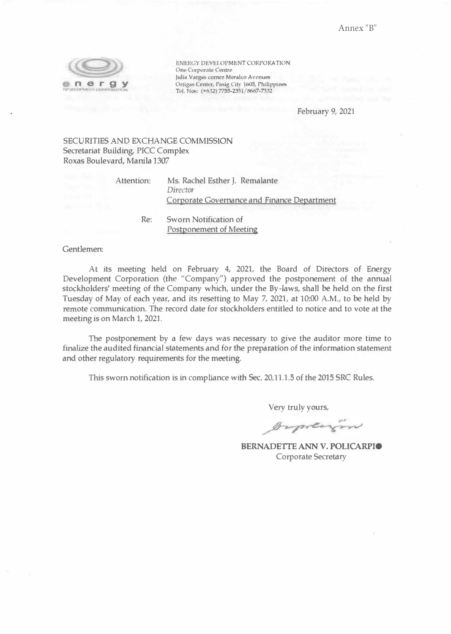

ENERGY DEVELOPMENT CORPORATION One Corporate Centre Julia Vargas corner Meralco Avenues Ortigas Center, Pasig City 1605, Philippines Tel. Nos: (+632) 7755-2331/8667-7332

February 9, 2021

### SECURITIES AND EXCHANGE COMMISSION Secretariat Building, PICC Complex Roxas Boulevard, Manila 1307

Attention:

Ms. Rachel Esther J. Remalante *Directo<sup>r</sup>* Corporate Governance and Finance Department

Re: Sworn Notification of Postponement of Meeting

Gentlemen:

At its meeting held on February 4, 2021, the Board of Directors of Energy Development Corporation (the "Company") approved the postponement of the annual stockholders' meeting of the Company which, under the By-laws, shall be held on the first Tuesday of May of each year, and its resetting to May 7, 2021, at 10:00 A.M., to be held by remote communication. The record date for stockholders entitled to notice and to vote at the meeting is on March 1, 2021.

The postponement by a few days was necessary to give the auditor more time to finalize the audited financial statements and for the preparation of the information statement and other regulatory requirements for the meeting.

This sworn notification is in compliance with Sec. 20.11.1.5 of the 2015 SRC Rules.

Very truly yours,

Orpherin

**BERNADETTE ANN V. POLICARPIO**  Corporate Secretary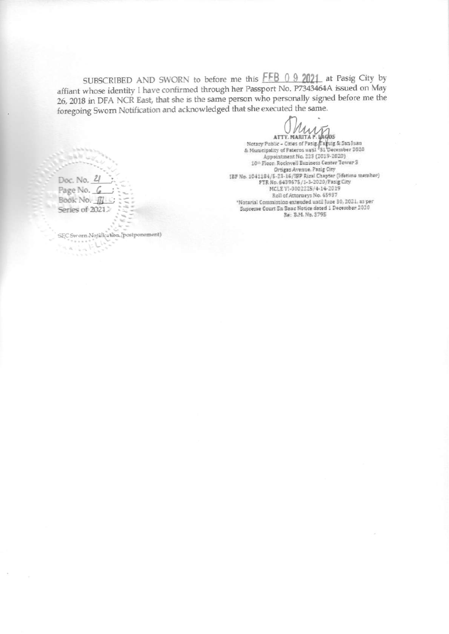SUBSCRIBED AND SWORN to before me this FFB 0 9 2021 at Pasig City by affiant whose identity I have confirmed through her Passport No. P7343464A issued on May 26, 2018 in DFA NCR East, that she is the same person who personally signed before me the foregoing Sworn Notification and acknowledged that she executed the same.

ATTY, MARITA P. 14905<br>Notary Public - Cities of Pasig Rayung & San Juan<br>& Municipality of Pateros until '31 December 2020 Appointment No. 223 (2019-2020) 10th Floor, Rockwell Business Center Tower S Ortigas Avenue, Pasig City IBP No. 1041184/5-23-16/IBP Rizal Chapter (lifetime member) PTR No. 6439675/1-3-2020/Pasig City MCLEVI-0002225/4-14-2019 Roll of Attorneys No. 65937 \*Notarial Commission extended until June 30, 2021, as per Supreme Court En Banc Notice dated 1 December 2020 Be: 8.M. No. 3795

Doc. No. 21 Page No. 6 Book No. Series of 2021.

 $\sqrt{2}$ 

 $\leq k$  is

SEC Sworn Notification (postponement)